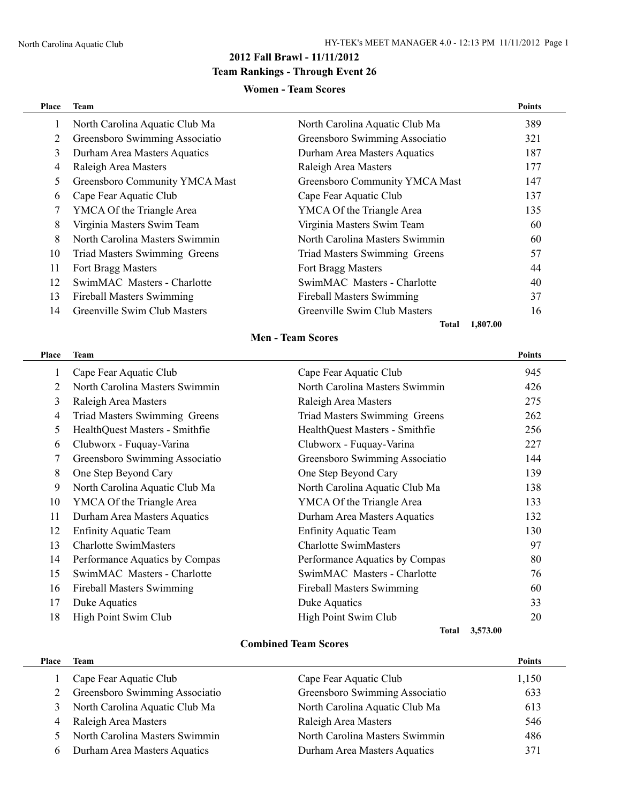### **2012 Fall Brawl - 11/11/2012**

## **Team Rankings - Through Event 26**

#### **Women - Team Scores**

| Place | <b>Team</b>                      |                                  | <b>Points</b> |
|-------|----------------------------------|----------------------------------|---------------|
| 1     | North Carolina Aquatic Club Ma   | North Carolina Aquatic Club Ma   | 389           |
| 2     | Greensboro Swimming Associatio   | Greensboro Swimming Associatio   | 321           |
| 3     | Durham Area Masters Aquatics     | Durham Area Masters Aquatics     | 187           |
| 4     | Raleigh Area Masters             | Raleigh Area Masters             | 177           |
| 5     | Greensboro Community YMCA Mast   | Greensboro Community YMCA Mast   | 147           |
| 6     | Cape Fear Aquatic Club           | Cape Fear Aquatic Club           | 137           |
| 7     | YMCA Of the Triangle Area        | YMCA Of the Triangle Area        | 135           |
| 8     | Virginia Masters Swim Team       | Virginia Masters Swim Team       | 60            |
| 8     | North Carolina Masters Swimmin   | North Carolina Masters Swimmin   | 60            |
| 10    | Triad Masters Swimming Greens    | Triad Masters Swimming Greens    | 57            |
| 11    | Fort Bragg Masters               | Fort Bragg Masters               | 44            |
| 12    | SwimMAC Masters - Charlotte      | SwimMAC Masters - Charlotte      | 40            |
| 13    | <b>Fireball Masters Swimming</b> | <b>Fireball Masters Swimming</b> | 37            |
| 14    | Greenville Swim Club Masters     | Greenville Swim Club Masters     | 16            |
|       |                                  | 1,807.00<br>Total                |               |

## **Men - Team Scores**

| Place | <b>Team</b>                      |                                      | <b>Points</b> |
|-------|----------------------------------|--------------------------------------|---------------|
| 1     | Cape Fear Aquatic Club           | Cape Fear Aquatic Club               | 945           |
| 2     | North Carolina Masters Swimmin   | North Carolina Masters Swimmin       | 426           |
| 3     | Raleigh Area Masters             | Raleigh Area Masters                 | 275           |
| 4     | Triad Masters Swimming Greens    | <b>Triad Masters Swimming Greens</b> | 262           |
| 5     | HealthQuest Masters - Smithfie   | HealthQuest Masters - Smithfie       | 256           |
| 6     | Clubworx - Fuquay-Varina         | Clubworx - Fuquay-Varina             | 227           |
| 7     | Greensboro Swimming Associatio   | Greensboro Swimming Associatio       | 144           |
| 8     | One Step Beyond Cary             | One Step Beyond Cary                 | 139           |
| 9     | North Carolina Aquatic Club Ma   | North Carolina Aquatic Club Ma       | 138           |
| 10    | YMCA Of the Triangle Area        | YMCA Of the Triangle Area            | 133           |
| 11    | Durham Area Masters Aquatics     | Durham Area Masters Aquatics         | 132           |
| 12    | <b>Enfinity Aquatic Team</b>     | <b>Enfinity Aquatic Team</b>         | 130           |
| 13    | <b>Charlotte SwimMasters</b>     | <b>Charlotte SwimMasters</b>         | 97            |
| 14    | Performance Aquatics by Compas   | Performance Aquatics by Compas       | 80            |
| 15    | SwimMAC Masters - Charlotte      | SwimMAC Masters - Charlotte          | 76            |
| 16    | <b>Fireball Masters Swimming</b> | <b>Fireball Masters Swimming</b>     | 60            |
| 17    | Duke Aquatics                    | Duke Aquatics                        | 33            |
| 18    | High Point Swim Club             | High Point Swim Club                 | 20            |
|       |                                  | <b>Total</b>                         | 3,573.00      |

#### **Combined Team Scores**

| Place | Team                           |                                | <b>Points</b> |
|-------|--------------------------------|--------------------------------|---------------|
|       | Cape Fear Aquatic Club         | Cape Fear Aquatic Club         | 1,150         |
|       | Greensboro Swimming Associatio | Greensboro Swimming Associatio | 633           |
| 3     | North Carolina Aquatic Club Ma | North Carolina Aquatic Club Ma | 613           |
| 4     | Raleigh Area Masters           | Raleigh Area Masters           | 546           |
|       | North Carolina Masters Swimmin | North Carolina Masters Swimmin | 486           |
| b     | Durham Area Masters Aquatics   | Durham Area Masters Aquatics   | 371           |